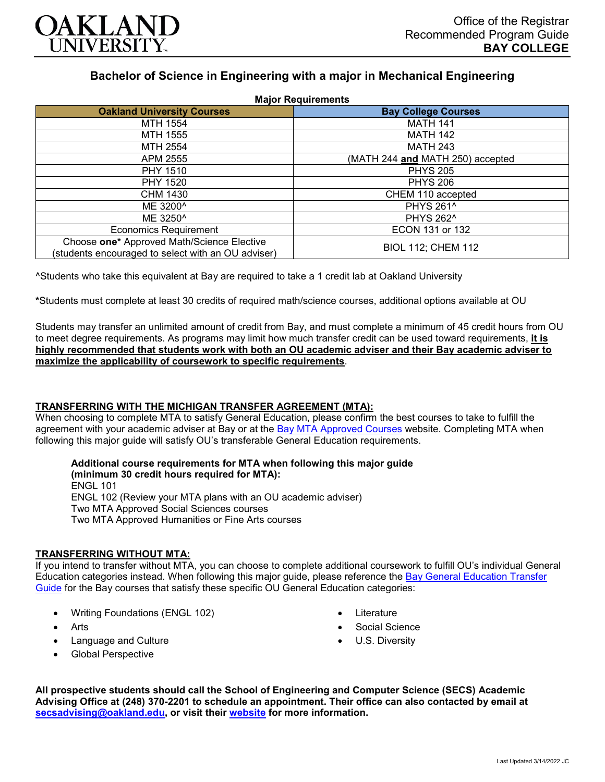

# **Bachelor of Science in Engineering with a major in Mechanical Engineering**

| <b>Major Requirements</b>                                                                        |                                  |
|--------------------------------------------------------------------------------------------------|----------------------------------|
| <b>Oakland University Courses</b>                                                                | <b>Bay College Courses</b>       |
| MTH 1554                                                                                         | <b>MATH 141</b>                  |
| MTH 1555                                                                                         | <b>MATH 142</b>                  |
| MTH 2554                                                                                         | <b>MATH 243</b>                  |
| APM 2555                                                                                         | (MATH 244 and MATH 250) accepted |
| <b>PHY 1510</b>                                                                                  | <b>PHYS 205</b>                  |
| <b>PHY 1520</b>                                                                                  | <b>PHYS 206</b>                  |
| CHM 1430                                                                                         | CHEM 110 accepted                |
| ME 3200^                                                                                         | <b>PHYS 261^</b>                 |
| ME 3250 <sup>^</sup>                                                                             | <b>PHYS 262^</b>                 |
| <b>Economics Requirement</b>                                                                     | ECON 131 or 132                  |
| Choose one* Approved Math/Science Elective<br>(students encouraged to select with an OU adviser) | <b>BIOL 112; CHEM 112</b>        |

^Students who take this equivalent at Bay are required to take a 1 credit lab at Oakland University

**\***Students must complete at least 30 credits of required math/science courses, additional options available at OU

Students may transfer an unlimited amount of credit from Bay, and must complete a minimum of 45 credit hours from OU to meet degree requirements. As programs may limit how much transfer credit can be used toward requirements, **it is highly recommended that students work with both an OU academic adviser and their Bay academic adviser to maximize the applicability of coursework to specific requirements**.

## **TRANSFERRING WITH THE MICHIGAN TRANSFER AGREEMENT (MTA):**

When choosing to complete MTA to satisfy General Education, please confirm the best courses to take to fulfill the agreement with your academic adviser at Bay or at the [Bay MTA Approved Courses](https://www.baycollege.edu/admissions/transfer/transfer-agreements.php) website. Completing MTA when following this major guide will satisfy OU's transferable General Education requirements.

# **Additional course requirements for MTA when following this major guide**

**(minimum 30 credit hours required for MTA):** ENGL 101 ENGL 102 (Review your MTA plans with an OU academic adviser) Two MTA Approved Social Sciences courses Two MTA Approved Humanities or Fine Arts courses

# **TRANSFERRING WITHOUT MTA:**

If you intend to transfer without MTA, you can choose to complete additional coursework to fulfill OU's individual General Education categories instead. When following this major guide, please reference the [Bay General Education Transfer](https://www.oakland.edu/Assets/Oakland/program-guides/bay-college/university-general-education-requirements/Bay%20Gen%20Ed.pdf)  [Guide](https://www.oakland.edu/Assets/Oakland/program-guides/bay-college/university-general-education-requirements/Bay%20Gen%20Ed.pdf) for the Bay courses that satisfy these specific OU General Education categories:

- Writing Foundations (ENGL 102)
- Arts
- Language and Culture
- Global Perspective
- **Literature**
- Social Science
- U.S. Diversity

**All prospective students should call the School of Engineering and Computer Science (SECS) Academic Advising Office at (248) 370-2201 to schedule an appointment. Their office can also contacted by email at [secsadvising@oakland.edu,](mailto:secsadvising@oakland.edu) or visit their [website](https://wwwp.oakland.edu/secs/advising/) for more information.**